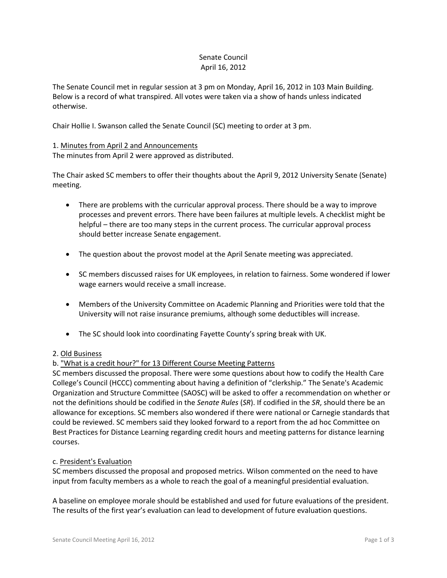### Senate Council April 16, 2012

The Senate Council met in regular session at 3 pm on Monday, April 16, 2012 in 103 Main Building. Below is a record of what transpired. All votes were taken via a show of hands unless indicated otherwise.

Chair Hollie I. Swanson called the Senate Council (SC) meeting to order at 3 pm.

### 1. Minutes from April 2 and Announcements

The minutes from April 2 were approved as distributed.

The Chair asked SC members to offer their thoughts about the April 9, 2012 University Senate (Senate) meeting.

- There are problems with the curricular approval process. There should be a way to improve processes and prevent errors. There have been failures at multiple levels. A checklist might be helpful – there are too many steps in the current process. The curricular approval process should better increase Senate engagement.
- The question about the provost model at the April Senate meeting was appreciated.
- SC members discussed raises for UK employees, in relation to fairness. Some wondered if lower wage earners would receive a small increase.
- Members of the University Committee on Academic Planning and Priorities were told that the University will not raise insurance premiums, although some deductibles will increase.
- The SC should look into coordinating Fayette County's spring break with UK.

### 2. Old Business

### b. "What is a credit hour?" for 13 Different Course Meeting Patterns

SC members discussed the proposal. There were some questions about how to codify the Health Care College's Council (HCCC) commenting about having a definition of "clerkship." The Senate's Academic Organization and Structure Committee (SAOSC) will be asked to offer a recommendation on whether or not the definitions should be codified in the *Senate Rules* (*SR*). If codified in the *SR*, should there be an allowance for exceptions. SC members also wondered if there were national or Carnegie standards that could be reviewed. SC members said they looked forward to a report from the ad hoc Committee on Best Practices for Distance Learning regarding credit hours and meeting patterns for distance learning courses.

### c. President's Evaluation

SC members discussed the proposal and proposed metrics. Wilson commented on the need to have input from faculty members as a whole to reach the goal of a meaningful presidential evaluation.

A baseline on employee morale should be established and used for future evaluations of the president. The results of the first year's evaluation can lead to development of future evaluation questions.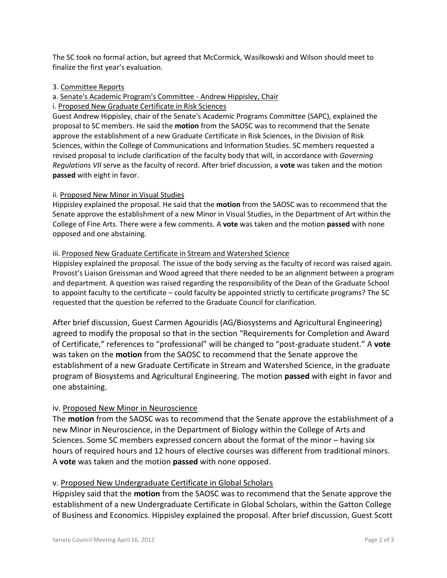The SC took no formal action, but agreed that McCormick, Wasilkowski and Wilson should meet to finalize the first year's evaluation.

#### 3. Committee Reports

a. Senate's Academic Program's Committee - Andrew Hippisley, Chair

i. Proposed New Graduate Certificate in Risk Sciences

Guest Andrew Hippisley, chair of the Senate's Academic Programs Committee (SAPC), explained the proposal to SC members. He said the **motion** from the SAOSC was to recommend that the Senate approve the establishment of a new Graduate Certificate in Risk Sciences, in the Division of Risk Sciences, within the College of Communications and Information Studies. SC members requested a revised proposal to include clarification of the faculty body that will, in accordance with *Governing Regulations VII* serve as the faculty of record. After brief discussion, a **vote** was taken and the motion **passed** with eight in favor.

### ii. Proposed New Minor in Visual Studies

Hippisley explained the proposal. He said that the **motion** from the SAOSC was to recommend that the Senate approve the establishment of a new Minor in Visual Studies, in the Department of Art within the College of Fine Arts. There were a few comments. A **vote** was taken and the motion **passed** with none opposed and one abstaining.

#### iii. Proposed New Graduate Certificate in Stream and Watershed Science

Hippisley explained the proposal. The issue of the body serving as the faculty of record was raised again. Provost's Liaison Greissman and Wood agreed that there needed to be an alignment between a program and department. A question was raised regarding the responsibility of the Dean of the Graduate School to appoint faculty to the certificate – could faculty be appointed strictly to certificate programs? The SC requested that the question be referred to the Graduate Council for clarification.

After brief discussion, Guest Carmen Agouridis (AG/Biosystems and Agricultural Engineering) agreed to modify the proposal so that in the section "Requirements for Completion and Award of Certificate," references to "professional" will be changed to "post-graduate student." A **vote** was taken on the **motion** from the SAOSC to recommend that the Senate approve the establishment of a new Graduate Certificate in Stream and Watershed Science, in the graduate program of Biosystems and Agricultural Engineering. The motion **passed** with eight in favor and one abstaining.

### iv. Proposed New Minor in Neuroscience

The **motion** from the SAOSC was to recommend that the Senate approve the establishment of a new Minor in Neuroscience, in the Department of Biology within the College of Arts and Sciences. Some SC members expressed concern about the format of the minor – having six hours of required hours and 12 hours of elective courses was different from traditional minors. A **vote** was taken and the motion **passed** with none opposed.

### v. Proposed New Undergraduate Certificate in Global Scholars

Hippisley said that the **motion** from the SAOSC was to recommend that the Senate approve the establishment of a new Undergraduate Certificate in Global Scholars, within the Gatton College of Business and Economics. Hippisley explained the proposal. After brief discussion, Guest Scott